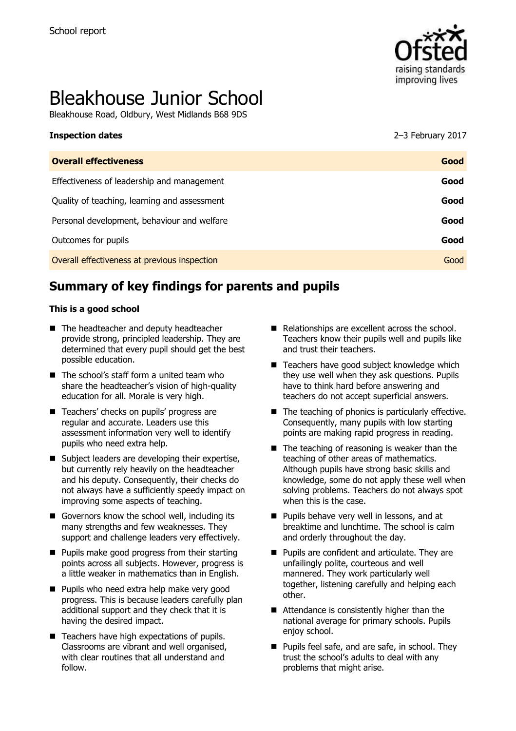

# Bleakhouse Junior School

Bleakhouse Road, Oldbury, West Midlands B68 9DS

| <b>Inspection dates</b>                      | 2-3 February 2017 |
|----------------------------------------------|-------------------|
| <b>Overall effectiveness</b>                 | Good              |
| Effectiveness of leadership and management   | Good              |
| Quality of teaching, learning and assessment | Good              |
| Personal development, behaviour and welfare  | Good              |
| Outcomes for pupils                          | Good              |

**Overall effectiveness at previous inspection Good Good Contract Contract Contract Contract Cood Good** 

# **Summary of key findings for parents and pupils**

#### **This is a good school**

- The headteacher and deputy headteacher provide strong, principled leadership. They are determined that every pupil should get the best possible education.
- The school's staff form a united team who share the headteacher's vision of high-quality education for all. Morale is very high.
- Teachers' checks on pupils' progress are regular and accurate. Leaders use this assessment information very well to identify pupils who need extra help.
- Subject leaders are developing their expertise, but currently rely heavily on the headteacher and his deputy. Consequently, their checks do not always have a sufficiently speedy impact on improving some aspects of teaching.
- Governors know the school well, including its many strengths and few weaknesses. They support and challenge leaders very effectively.
- Pupils make good progress from their starting points across all subjects. However, progress is a little weaker in mathematics than in English.
- **Pupils who need extra help make very good** progress. This is because leaders carefully plan additional support and they check that it is having the desired impact.
- $\blacksquare$  Teachers have high expectations of pupils. Classrooms are vibrant and well organised, with clear routines that all understand and follow.
- Relationships are excellent across the school. Teachers know their pupils well and pupils like and trust their teachers.
- Teachers have good subject knowledge which they use well when they ask questions. Pupils have to think hard before answering and teachers do not accept superficial answers.
- The teaching of phonics is particularly effective. Consequently, many pupils with low starting points are making rapid progress in reading.
- $\blacksquare$  The teaching of reasoning is weaker than the teaching of other areas of mathematics. Although pupils have strong basic skills and knowledge, some do not apply these well when solving problems. Teachers do not always spot when this is the case.
- **Pupils behave very well in lessons, and at** breaktime and lunchtime. The school is calm and orderly throughout the day.
- **Pupils are confident and articulate. They are** unfailingly polite, courteous and well mannered. They work particularly well together, listening carefully and helping each other.
- Attendance is consistently higher than the national average for primary schools. Pupils eniov school.
- **Pupils feel safe, and are safe, in school. They** trust the school's adults to deal with any problems that might arise.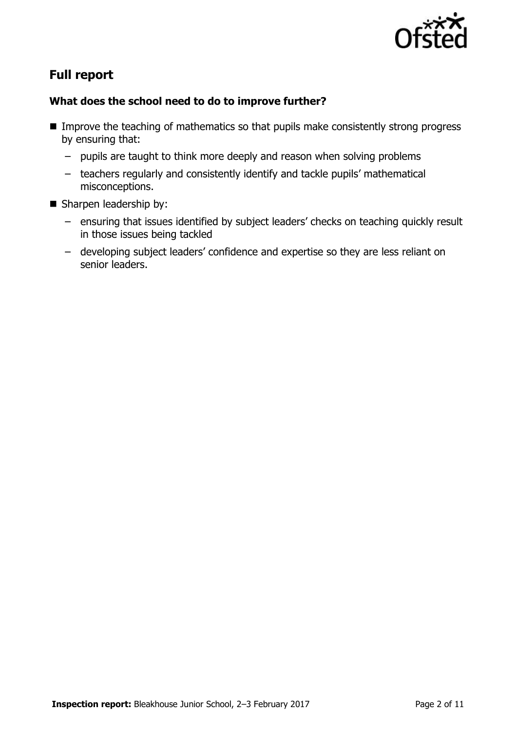

# **Full report**

#### **What does the school need to do to improve further?**

- Improve the teaching of mathematics so that pupils make consistently strong progress by ensuring that:
	- pupils are taught to think more deeply and reason when solving problems
	- teachers regularly and consistently identify and tackle pupils' mathematical misconceptions.
- Sharpen leadership by:
	- ensuring that issues identified by subject leaders' checks on teaching quickly result in those issues being tackled
	- developing subject leaders' confidence and expertise so they are less reliant on senior leaders.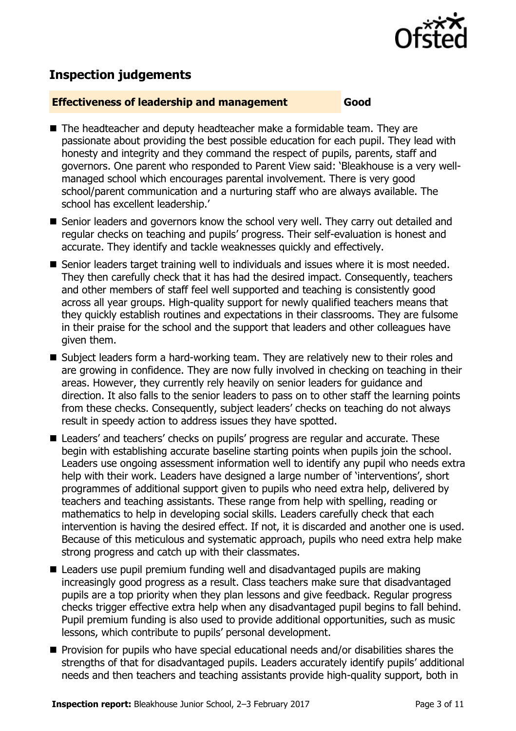

# **Inspection judgements**

#### **Effectiveness of leadership and management Good**

- The headteacher and deputy headteacher make a formidable team. They are passionate about providing the best possible education for each pupil. They lead with honesty and integrity and they command the respect of pupils, parents, staff and governors. One parent who responded to Parent View said: 'Bleakhouse is a very wellmanaged school which encourages parental involvement. There is very good school/parent communication and a nurturing staff who are always available. The school has excellent leadership.'
- Senior leaders and governors know the school very well. They carry out detailed and regular checks on teaching and pupils' progress. Their self-evaluation is honest and accurate. They identify and tackle weaknesses quickly and effectively.
- Senior leaders target training well to individuals and issues where it is most needed. They then carefully check that it has had the desired impact. Consequently, teachers and other members of staff feel well supported and teaching is consistently good across all year groups. High-quality support for newly qualified teachers means that they quickly establish routines and expectations in their classrooms. They are fulsome in their praise for the school and the support that leaders and other colleagues have given them.
- Subject leaders form a hard-working team. They are relatively new to their roles and are growing in confidence. They are now fully involved in checking on teaching in their areas. However, they currently rely heavily on senior leaders for guidance and direction. It also falls to the senior leaders to pass on to other staff the learning points from these checks. Consequently, subject leaders' checks on teaching do not always result in speedy action to address issues they have spotted.
- Leaders' and teachers' checks on pupils' progress are regular and accurate. These begin with establishing accurate baseline starting points when pupils join the school. Leaders use ongoing assessment information well to identify any pupil who needs extra help with their work. Leaders have designed a large number of 'interventions', short programmes of additional support given to pupils who need extra help, delivered by teachers and teaching assistants. These range from help with spelling, reading or mathematics to help in developing social skills. Leaders carefully check that each intervention is having the desired effect. If not, it is discarded and another one is used. Because of this meticulous and systematic approach, pupils who need extra help make strong progress and catch up with their classmates.
- Leaders use pupil premium funding well and disadvantaged pupils are making increasingly good progress as a result. Class teachers make sure that disadvantaged pupils are a top priority when they plan lessons and give feedback. Regular progress checks trigger effective extra help when any disadvantaged pupil begins to fall behind. Pupil premium funding is also used to provide additional opportunities, such as music lessons, which contribute to pupils' personal development.
- **Provision for pupils who have special educational needs and/or disabilities shares the** strengths of that for disadvantaged pupils. Leaders accurately identify pupils' additional needs and then teachers and teaching assistants provide high-quality support, both in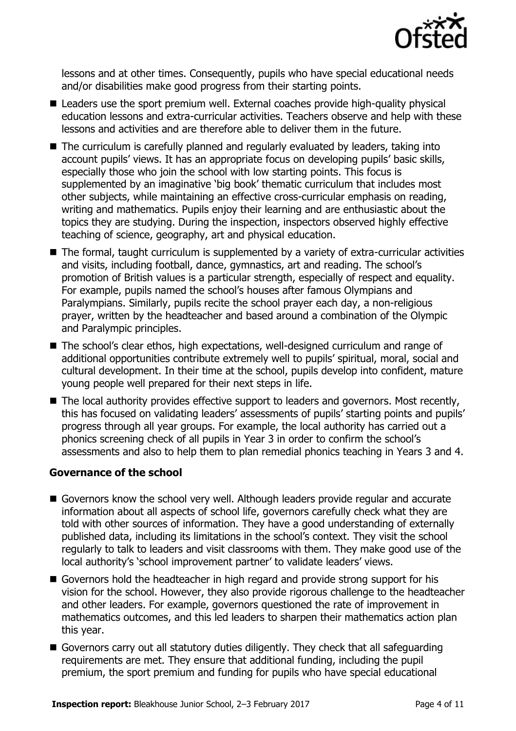

lessons and at other times. Consequently, pupils who have special educational needs and/or disabilities make good progress from their starting points.

- Leaders use the sport premium well. External coaches provide high-quality physical education lessons and extra-curricular activities. Teachers observe and help with these lessons and activities and are therefore able to deliver them in the future.
- The curriculum is carefully planned and regularly evaluated by leaders, taking into account pupils' views. It has an appropriate focus on developing pupils' basic skills, especially those who join the school with low starting points. This focus is supplemented by an imaginative 'big book' thematic curriculum that includes most other subjects, while maintaining an effective cross-curricular emphasis on reading, writing and mathematics. Pupils enjoy their learning and are enthusiastic about the topics they are studying. During the inspection, inspectors observed highly effective teaching of science, geography, art and physical education.
- The formal, taught curriculum is supplemented by a variety of extra-curricular activities and visits, including football, dance, gymnastics, art and reading. The school's promotion of British values is a particular strength, especially of respect and equality. For example, pupils named the school's houses after famous Olympians and Paralympians. Similarly, pupils recite the school prayer each day, a non-religious prayer, written by the headteacher and based around a combination of the Olympic and Paralympic principles.
- The school's clear ethos, high expectations, well-designed curriculum and range of additional opportunities contribute extremely well to pupils' spiritual, moral, social and cultural development. In their time at the school, pupils develop into confident, mature young people well prepared for their next steps in life.
- The local authority provides effective support to leaders and governors. Most recently, this has focused on validating leaders' assessments of pupils' starting points and pupils' progress through all year groups. For example, the local authority has carried out a phonics screening check of all pupils in Year 3 in order to confirm the school's assessments and also to help them to plan remedial phonics teaching in Years 3 and 4.

#### **Governance of the school**

- Governors know the school very well. Although leaders provide regular and accurate information about all aspects of school life, governors carefully check what they are told with other sources of information. They have a good understanding of externally published data, including its limitations in the school's context. They visit the school regularly to talk to leaders and visit classrooms with them. They make good use of the local authority's 'school improvement partner' to validate leaders' views.
- Governors hold the headteacher in high regard and provide strong support for his vision for the school. However, they also provide rigorous challenge to the headteacher and other leaders. For example, governors questioned the rate of improvement in mathematics outcomes, and this led leaders to sharpen their mathematics action plan this year.
- Governors carry out all statutory duties diligently. They check that all safeguarding requirements are met. They ensure that additional funding, including the pupil premium, the sport premium and funding for pupils who have special educational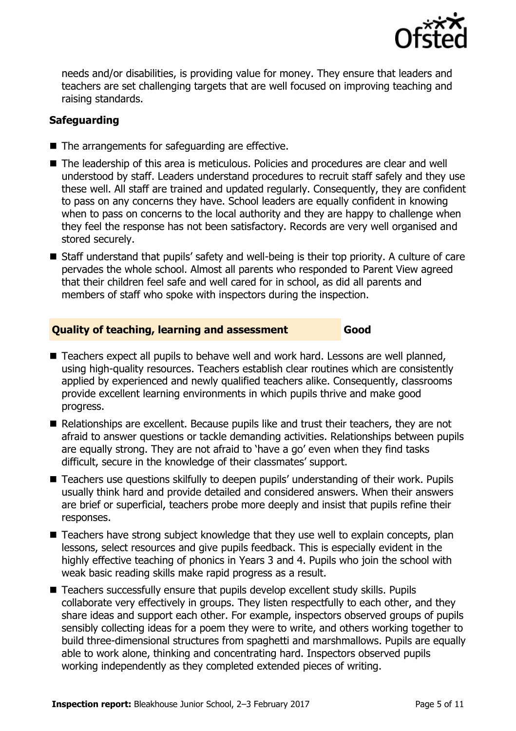

needs and/or disabilities, is providing value for money. They ensure that leaders and teachers are set challenging targets that are well focused on improving teaching and raising standards.

### **Safeguarding**

- The arrangements for safeguarding are effective.
- The leadership of this area is meticulous. Policies and procedures are clear and well understood by staff. Leaders understand procedures to recruit staff safely and they use these well. All staff are trained and updated regularly. Consequently, they are confident to pass on any concerns they have. School leaders are equally confident in knowing when to pass on concerns to the local authority and they are happy to challenge when they feel the response has not been satisfactory. Records are very well organised and stored securely.
- Staff understand that pupils' safety and well-being is their top priority. A culture of care pervades the whole school. Almost all parents who responded to Parent View agreed that their children feel safe and well cared for in school, as did all parents and members of staff who spoke with inspectors during the inspection.

#### **Quality of teaching, learning and assessment Good**

■ Teachers expect all pupils to behave well and work hard. Lessons are well planned, using high-quality resources. Teachers establish clear routines which are consistently applied by experienced and newly qualified teachers alike. Consequently, classrooms provide excellent learning environments in which pupils thrive and make good progress.

- Relationships are excellent. Because pupils like and trust their teachers, they are not afraid to answer questions or tackle demanding activities. Relationships between pupils are equally strong. They are not afraid to 'have a go' even when they find tasks difficult, secure in the knowledge of their classmates' support.
- Teachers use questions skilfully to deepen pupils' understanding of their work. Pupils usually think hard and provide detailed and considered answers. When their answers are brief or superficial, teachers probe more deeply and insist that pupils refine their responses.
- Teachers have strong subject knowledge that they use well to explain concepts, plan lessons, select resources and give pupils feedback. This is especially evident in the highly effective teaching of phonics in Years 3 and 4. Pupils who join the school with weak basic reading skills make rapid progress as a result.
- Teachers successfully ensure that pupils develop excellent study skills. Pupils collaborate very effectively in groups. They listen respectfully to each other, and they share ideas and support each other. For example, inspectors observed groups of pupils sensibly collecting ideas for a poem they were to write, and others working together to build three-dimensional structures from spaghetti and marshmallows. Pupils are equally able to work alone, thinking and concentrating hard. Inspectors observed pupils working independently as they completed extended pieces of writing.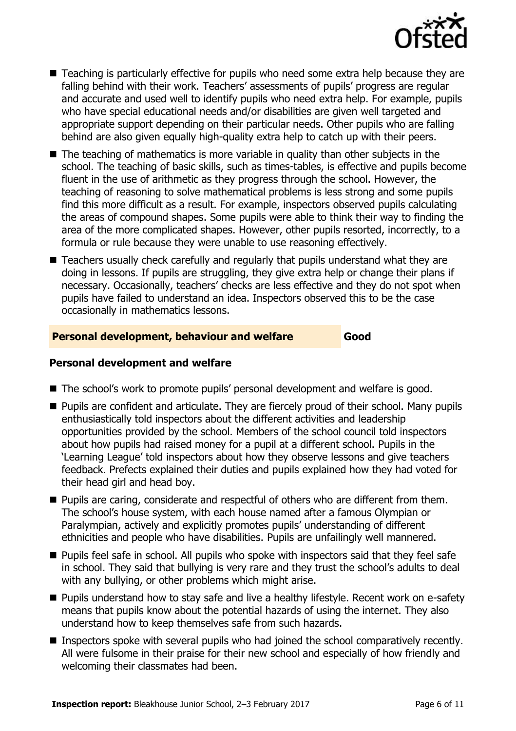

- Teaching is particularly effective for pupils who need some extra help because they are falling behind with their work. Teachers' assessments of pupils' progress are regular and accurate and used well to identify pupils who need extra help. For example, pupils who have special educational needs and/or disabilities are given well targeted and appropriate support depending on their particular needs. Other pupils who are falling behind are also given equally high-quality extra help to catch up with their peers.
- $\blacksquare$  The teaching of mathematics is more variable in quality than other subjects in the school. The teaching of basic skills, such as times-tables, is effective and pupils become fluent in the use of arithmetic as they progress through the school. However, the teaching of reasoning to solve mathematical problems is less strong and some pupils find this more difficult as a result. For example, inspectors observed pupils calculating the areas of compound shapes. Some pupils were able to think their way to finding the area of the more complicated shapes. However, other pupils resorted, incorrectly, to a formula or rule because they were unable to use reasoning effectively.
- Teachers usually check carefully and regularly that pupils understand what they are doing in lessons. If pupils are struggling, they give extra help or change their plans if necessary. Occasionally, teachers' checks are less effective and they do not spot when pupils have failed to understand an idea. Inspectors observed this to be the case occasionally in mathematics lessons.

#### **Personal development, behaviour and welfare Good**

#### **Personal development and welfare**

- The school's work to promote pupils' personal development and welfare is good.
- **Pupils are confident and articulate. They are fiercely proud of their school. Many pupils** enthusiastically told inspectors about the different activities and leadership opportunities provided by the school. Members of the school council told inspectors about how pupils had raised money for a pupil at a different school. Pupils in the 'Learning League' told inspectors about how they observe lessons and give teachers feedback. Prefects explained their duties and pupils explained how they had voted for their head girl and head boy.
- **Pupils are caring, considerate and respectful of others who are different from them.** The school's house system, with each house named after a famous Olympian or Paralympian, actively and explicitly promotes pupils' understanding of different ethnicities and people who have disabilities. Pupils are unfailingly well mannered.
- **Pupils feel safe in school. All pupils who spoke with inspectors said that they feel safe** in school. They said that bullying is very rare and they trust the school's adults to deal with any bullying, or other problems which might arise.
- **Pupils understand how to stay safe and live a healthy lifestyle. Recent work on e-safety** means that pupils know about the potential hazards of using the internet. They also understand how to keep themselves safe from such hazards.
- **Inspectors spoke with several pupils who had joined the school comparatively recently.** All were fulsome in their praise for their new school and especially of how friendly and welcoming their classmates had been.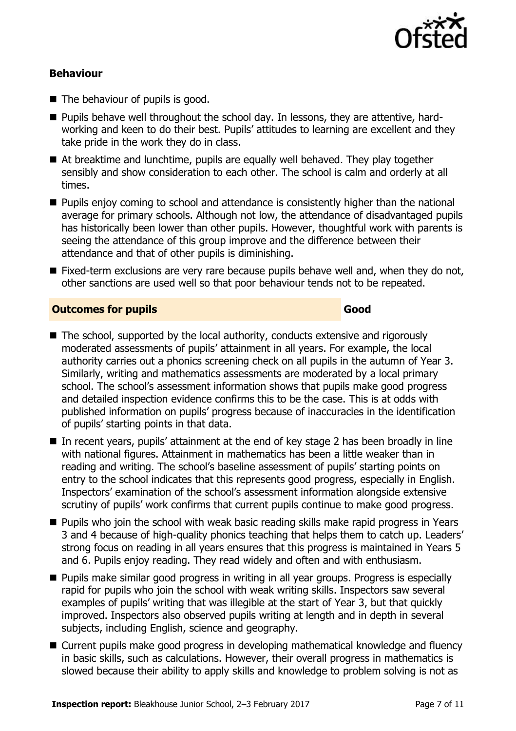

#### **Behaviour**

- The behaviour of pupils is good.
- **Pupils behave well throughout the school day. In lessons, they are attentive, hard**working and keen to do their best. Pupils' attitudes to learning are excellent and they take pride in the work they do in class.
- At breaktime and lunchtime, pupils are equally well behaved. They play together sensibly and show consideration to each other. The school is calm and orderly at all times.
- **Pupils enjoy coming to school and attendance is consistently higher than the national** average for primary schools. Although not low, the attendance of disadvantaged pupils has historically been lower than other pupils. However, thoughtful work with parents is seeing the attendance of this group improve and the difference between their attendance and that of other pupils is diminishing.
- Fixed-term exclusions are very rare because pupils behave well and, when they do not, other sanctions are used well so that poor behaviour tends not to be repeated.

#### **Outcomes for pupils Good**

- The school, supported by the local authority, conducts extensive and rigorously moderated assessments of pupils' attainment in all years. For example, the local authority carries out a phonics screening check on all pupils in the autumn of Year 3. Similarly, writing and mathematics assessments are moderated by a local primary school. The school's assessment information shows that pupils make good progress and detailed inspection evidence confirms this to be the case. This is at odds with published information on pupils' progress because of inaccuracies in the identification of pupils' starting points in that data.
- In recent years, pupils' attainment at the end of key stage 2 has been broadly in line with national figures. Attainment in mathematics has been a little weaker than in reading and writing. The school's baseline assessment of pupils' starting points on entry to the school indicates that this represents good progress, especially in English. Inspectors' examination of the school's assessment information alongside extensive scrutiny of pupils' work confirms that current pupils continue to make good progress.
- **Pupils who join the school with weak basic reading skills make rapid progress in Years** 3 and 4 because of high-quality phonics teaching that helps them to catch up. Leaders' strong focus on reading in all years ensures that this progress is maintained in Years 5 and 6. Pupils enjoy reading. They read widely and often and with enthusiasm.
- **Pupils make similar good progress in writing in all year groups. Progress is especially** rapid for pupils who join the school with weak writing skills. Inspectors saw several examples of pupils' writing that was illegible at the start of Year 3, but that quickly improved. Inspectors also observed pupils writing at length and in depth in several subjects, including English, science and geography.
- Current pupils make good progress in developing mathematical knowledge and fluency in basic skills, such as calculations. However, their overall progress in mathematics is slowed because their ability to apply skills and knowledge to problem solving is not as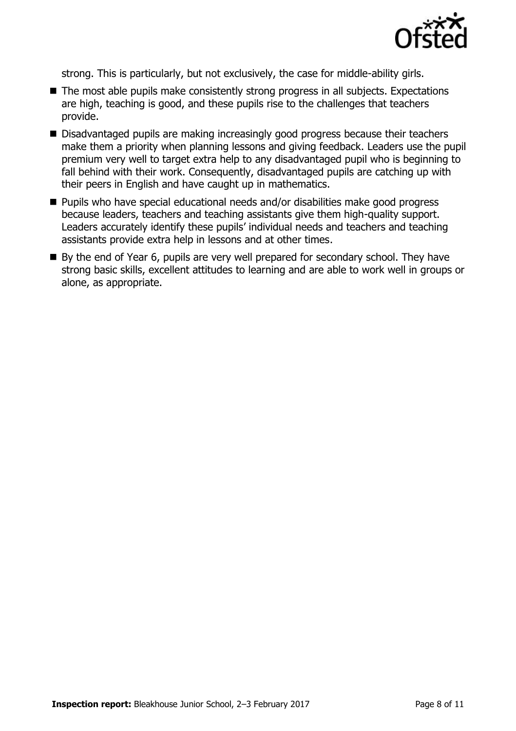

strong. This is particularly, but not exclusively, the case for middle-ability girls.

- The most able pupils make consistently strong progress in all subjects. Expectations are high, teaching is good, and these pupils rise to the challenges that teachers provide.
- Disadvantaged pupils are making increasingly good progress because their teachers make them a priority when planning lessons and giving feedback. Leaders use the pupil premium very well to target extra help to any disadvantaged pupil who is beginning to fall behind with their work. Consequently, disadvantaged pupils are catching up with their peers in English and have caught up in mathematics.
- Pupils who have special educational needs and/or disabilities make good progress because leaders, teachers and teaching assistants give them high-quality support. Leaders accurately identify these pupils' individual needs and teachers and teaching assistants provide extra help in lessons and at other times.
- By the end of Year 6, pupils are very well prepared for secondary school. They have strong basic skills, excellent attitudes to learning and are able to work well in groups or alone, as appropriate.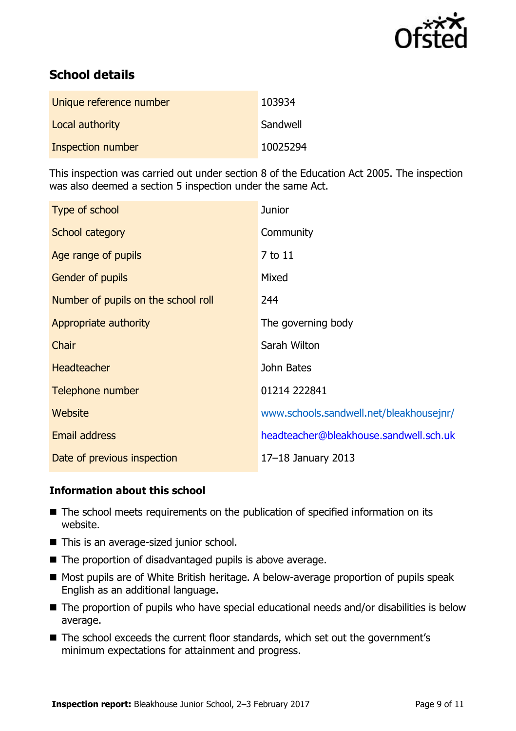

# **School details**

| Unique reference number | 103934   |
|-------------------------|----------|
| Local authority         | Sandwell |
| Inspection number       | 10025294 |

This inspection was carried out under section 8 of the Education Act 2005. The inspection was also deemed a section 5 inspection under the same Act.

| Type of school                      | <b>Junior</b>                           |
|-------------------------------------|-----------------------------------------|
| School category                     | Community                               |
| Age range of pupils                 | 7 to 11                                 |
| <b>Gender of pupils</b>             | Mixed                                   |
| Number of pupils on the school roll | 244                                     |
| Appropriate authority               | The governing body                      |
| Chair                               | Sarah Wilton                            |
| <b>Headteacher</b>                  | John Bates                              |
| Telephone number                    | 01214 222841                            |
| <b>Website</b>                      | www.schools.sandwell.net/bleakhousejnr/ |
| <b>Email address</b>                | headteacher@bleakhouse.sandwell.sch.uk  |
| Date of previous inspection         | 17-18 January 2013                      |

#### **Information about this school**

- The school meets requirements on the publication of specified information on its website.
- This is an average-sized junior school.
- The proportion of disadvantaged pupils is above average.
- Most pupils are of White British heritage. A below-average proportion of pupils speak English as an additional language.
- The proportion of pupils who have special educational needs and/or disabilities is below average.
- The school exceeds the current floor standards, which set out the government's minimum expectations for attainment and progress.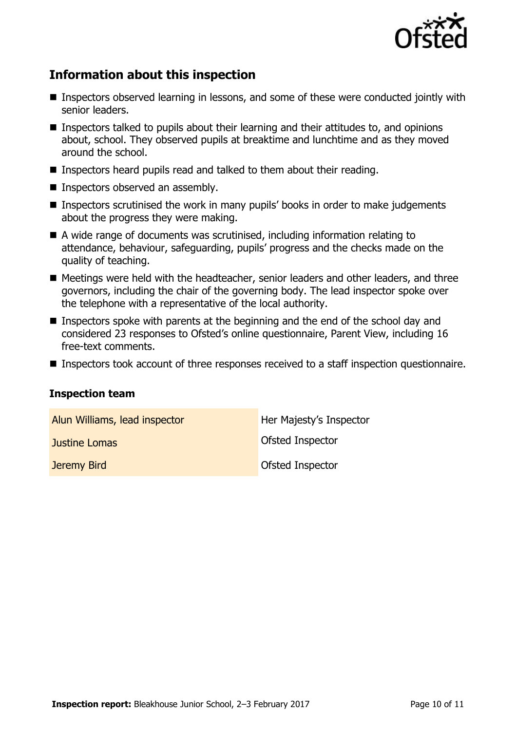

# **Information about this inspection**

- Inspectors observed learning in lessons, and some of these were conducted jointly with senior leaders.
- Inspectors talked to pupils about their learning and their attitudes to, and opinions about, school. They observed pupils at breaktime and lunchtime and as they moved around the school.
- Inspectors heard pupils read and talked to them about their reading.
- **Inspectors observed an assembly.**
- Inspectors scrutinised the work in many pupils' books in order to make judgements about the progress they were making.
- A wide range of documents was scrutinised, including information relating to attendance, behaviour, safeguarding, pupils' progress and the checks made on the quality of teaching.
- Meetings were held with the headteacher, senior leaders and other leaders, and three governors, including the chair of the governing body. The lead inspector spoke over the telephone with a representative of the local authority.
- Inspectors spoke with parents at the beginning and the end of the school day and considered 23 responses to Ofsted's online questionnaire, Parent View, including 16 free-text comments.
- **Inspectors took account of three responses received to a staff inspection questionnaire.**

#### **Inspection team**

| Alun Williams, lead inspector | Her Majesty's Inspector |
|-------------------------------|-------------------------|
| Justine Lomas                 | Ofsted Inspector        |
| Jeremy Bird                   | Ofsted Inspector        |